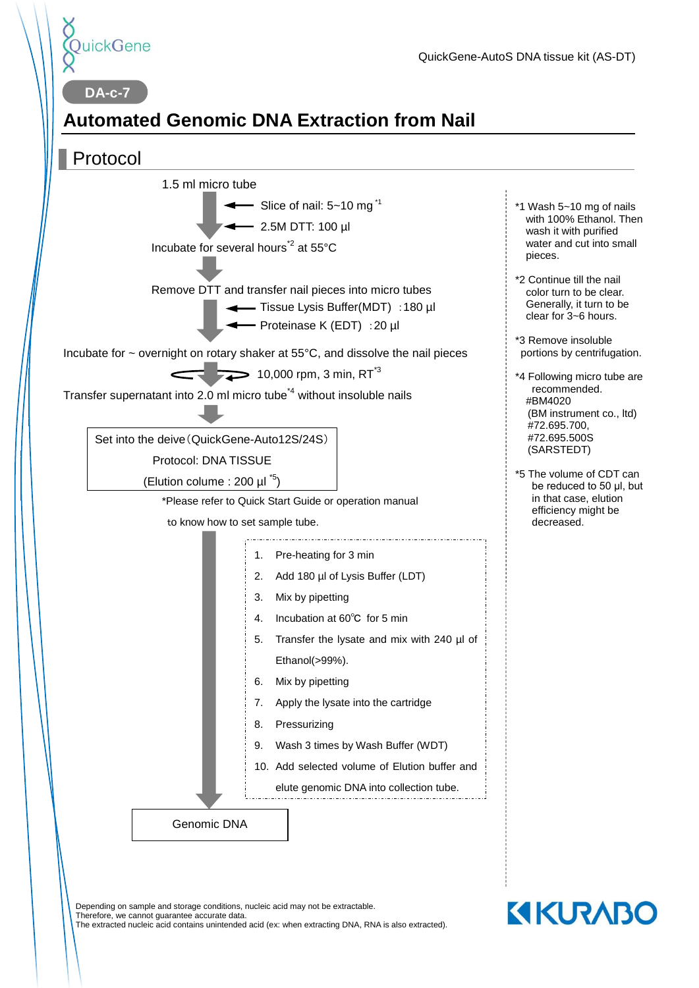

**DA-c-7**

# **Automated Genomic DNA Extraction from Nail**



Depending on sample and storage conditions, nucleic acid may not be extractable. Therefore, we cannot guarantee accurate data. The extracted nucleic acid contains unintended acid (ex: when extracting DNA, RNA is also extracted). **KIKURABO**